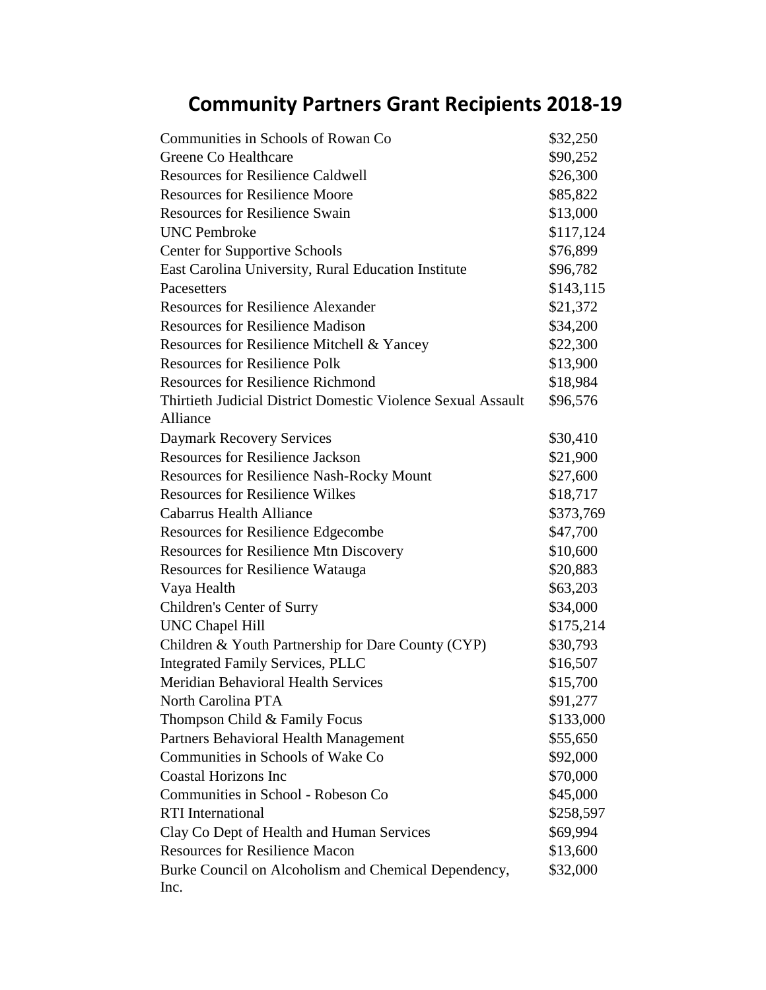## **Community Partners Grant Recipients 2018-19**

| Communities in Schools of Rowan Co.                          | \$32,250  |
|--------------------------------------------------------------|-----------|
| <b>Greene Co Healthcare</b>                                  | \$90,252  |
| <b>Resources for Resilience Caldwell</b>                     | \$26,300  |
| <b>Resources for Resilience Moore</b>                        | \$85,822  |
| <b>Resources for Resilience Swain</b>                        | \$13,000  |
| <b>UNC</b> Pembroke                                          | \$117,124 |
| <b>Center for Supportive Schools</b>                         | \$76,899  |
| East Carolina University, Rural Education Institute          | \$96,782  |
| Pacesetters                                                  | \$143,115 |
| <b>Resources for Resilience Alexander</b>                    | \$21,372  |
| <b>Resources for Resilience Madison</b>                      | \$34,200  |
| Resources for Resilience Mitchell & Yancey                   | \$22,300  |
| <b>Resources for Resilience Polk</b>                         | \$13,900  |
| <b>Resources for Resilience Richmond</b>                     | \$18,984  |
| Thirtieth Judicial District Domestic Violence Sexual Assault | \$96,576  |
| Alliance                                                     |           |
| <b>Daymark Recovery Services</b>                             | \$30,410  |
| <b>Resources for Resilience Jackson</b>                      | \$21,900  |
| <b>Resources for Resilience Nash-Rocky Mount</b>             | \$27,600  |
| <b>Resources for Resilience Wilkes</b>                       | \$18,717  |
| <b>Cabarrus Health Alliance</b>                              | \$373,769 |
| <b>Resources for Resilience Edgecombe</b>                    | \$47,700  |
| <b>Resources for Resilience Mtn Discovery</b>                | \$10,600  |
| <b>Resources for Resilience Watauga</b>                      | \$20,883  |
| Vaya Health                                                  | \$63,203  |
| Children's Center of Surry                                   | \$34,000  |
| <b>UNC Chapel Hill</b>                                       | \$175,214 |
| Children & Youth Partnership for Dare County (CYP)           | \$30,793  |
| <b>Integrated Family Services, PLLC</b>                      | \$16,507  |
| <b>Meridian Behavioral Health Services</b>                   | \$15,700  |
| North Carolina PTA                                           | \$91,277  |
| Thompson Child & Family Focus                                | \$133,000 |
| Partners Behavioral Health Management                        | \$55,650  |
| Communities in Schools of Wake Co                            | \$92,000  |
| <b>Coastal Horizons Inc</b>                                  | \$70,000  |
| Communities in School - Robeson Co                           | \$45,000  |
| <b>RTI</b> International                                     | \$258,597 |
| Clay Co Dept of Health and Human Services                    | \$69,994  |
| <b>Resources for Resilience Macon</b>                        | \$13,600  |
| Burke Council on Alcoholism and Chemical Dependency,         | \$32,000  |
| Inc.                                                         |           |